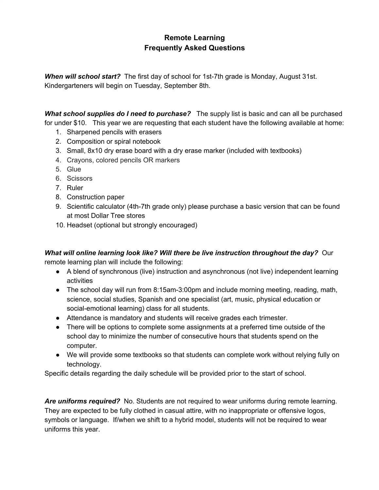### **Remote Learning Frequently Asked Questions**

*When will school start?* The first day of school for 1st-7th grade is Monday, August 31st. Kindergarteners will begin on Tuesday, September 8th.

*What school supplies do I need to purchase?* The supply list is basic and can all be purchased for under \$10. This year we are requesting that each student have the following available at home:

- 1. Sharpened pencils with erasers
- 2. Composition or spiral notebook
- 3. Small, 8x10 dry erase board with a dry erase marker (included with textbooks)
- 4. Crayons, colored pencils OR markers
- 5. Glue
- 6. Scissors
- 7. Ruler
- 8. Construction paper
- 9. Scientific calculator (4th-7th grade only) please purchase a basic version that can be found at most Dollar Tree stores
- 10. Headset (optional but strongly encouraged)

# *What will online learning look like? Will there be live instruction throughout the day?* Our

remote learning plan will include the following:

- A blend of synchronous (live) instruction and asynchronous (not live) independent learning activities
- The school day will run from 8:15am-3:00pm and include morning meeting, reading, math, science, social studies, Spanish and one specialist (art, music, physical education or social-emotional learning) class for all students.
- Attendance is mandatory and students will receive grades each trimester.
- There will be options to complete some assignments at a preferred time outside of the school day to minimize the number of consecutive hours that students spend on the computer.
- We will provide some textbooks so that students can complete work without relying fully on technology.

Specific details regarding the daily schedule will be provided prior to the start of school.

*Are uniforms required?* No. Students are not required to wear uniforms during remote learning. They are expected to be fully clothed in casual attire, with no inappropriate or offensive logos, symbols or language. If/when we shift to a hybrid model, students will not be required to wear uniforms this year.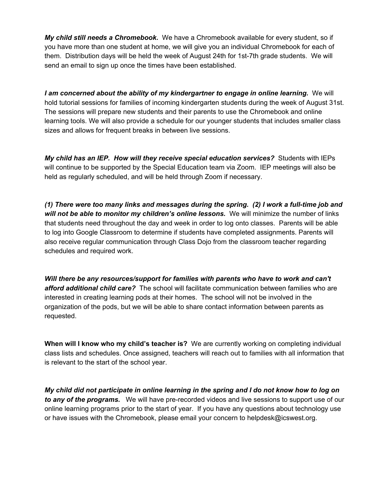*My child still needs a Chromebook.* We have a Chromebook available for every student, so if you have more than one student at home, we will give you an individual Chromebook for each of them. Distribution days will be held the week of August 24th for 1st-7th grade students. We will send an email to sign up once the times have been established.

*I am concerned about the ability of my kindergartner to engage in online learning.* We will hold tutorial sessions for families of incoming kindergarten students during the week of August 31st. The sessions will prepare new students and their parents to use the Chromebook and online learning tools. We will also provide a schedule for our younger students that includes smaller class sizes and allows for frequent breaks in between live sessions.

*My child has an IEP. How will they receive special education services?* Students with IEPs will continue to be supported by the Special Education team via Zoom. IEP meetings will also be held as regularly scheduled, and will be held through Zoom if necessary.

*(1) There were too many links and messages during the spring. (2) I work a full-time job and will not be able to monitor my children's online lessons.* We will minimize the number of links that students need throughout the day and week in order to log onto classes. Parents will be able to log into Google Classroom to determine if students have completed assignments. Parents will also receive regular communication through Class Dojo from the classroom teacher regarding schedules and required work.

*Will there be any resources/support for families with parents who have to work and can't afford additional child care?* The school will facilitate communication between families who are interested in creating learning pods at their homes. The school will not be involved in the organization of the pods, but we will be able to share contact information between parents as requested.

**When will I know who my child's teacher is?** We are currently working on completing individual class lists and schedules. Once assigned, teachers will reach out to families with all information that is relevant to the start of the school year.

My child did not participate in online learning in the spring and I do not know how to log on *to any of the programs.* We will have pre-recorded videos and live sessions to support use of our online learning programs prior to the start of year. If you have any questions about technology use or have issues with the Chromebook, please email your concern to helpdesk@icswest.org.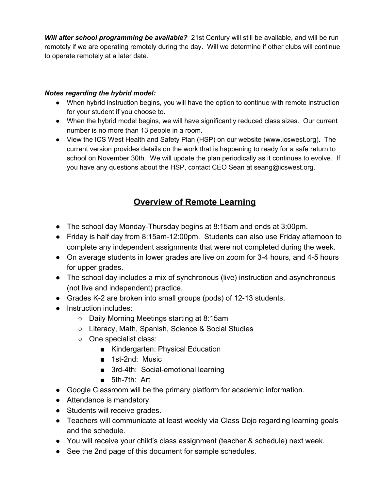*Will after school programming be available?* 21st Century will still be available, and will be run remotely if we are operating remotely during the day. Will we determine if other clubs will continue to operate remotely at a later date.

#### *Notes regarding the hybrid model:*

- When hybrid instruction begins, you will have the option to continue with remote instruction for your student if you choose to.
- When the hybrid model begins, we will have significantly reduced class sizes. Our current number is no more than 13 people in a room.
- View the ICS West Health and Safety Plan (HSP) on our website (www.icswest.org). The current version provides details on the work that is happening to ready for a safe return to school on November 30th. We will update the plan periodically as it continues to evolve. If you have any questions about the HSP, contact CEO Sean at seang@icswest.org.

### **Overview of Remote Learning**

- The school day Monday-Thursday begins at 8:15am and ends at 3:00pm.
- Friday is half day from 8:15am-12:00pm. Students can also use Friday afternoon to complete any independent assignments that were not completed during the week.
- On average students in lower grades are live on zoom for 3-4 hours, and 4-5 hours for upper grades.
- The school day includes a mix of synchronous (live) instruction and asynchronous (not live and independent) practice.
- Grades K-2 are broken into small groups (pods) of 12-13 students.
- Instruction includes:
	- Daily Morning Meetings starting at 8:15am
	- Literacy, Math, Spanish, Science & Social Studies
	- One specialist class:
		- Kindergarten: Physical Education
		- 1st-2nd: Music
		- 3rd-4th: Social-emotional learning
		- 5th-7th: Art
- Google Classroom will be the primary platform for academic information.
- Attendance is mandatory.
- Students will receive grades.
- Teachers will communicate at least weekly via Class Dojo regarding learning goals and the schedule.
- You will receive your child's class assignment (teacher & schedule) next week.
- See the 2nd page of this document for sample schedules.